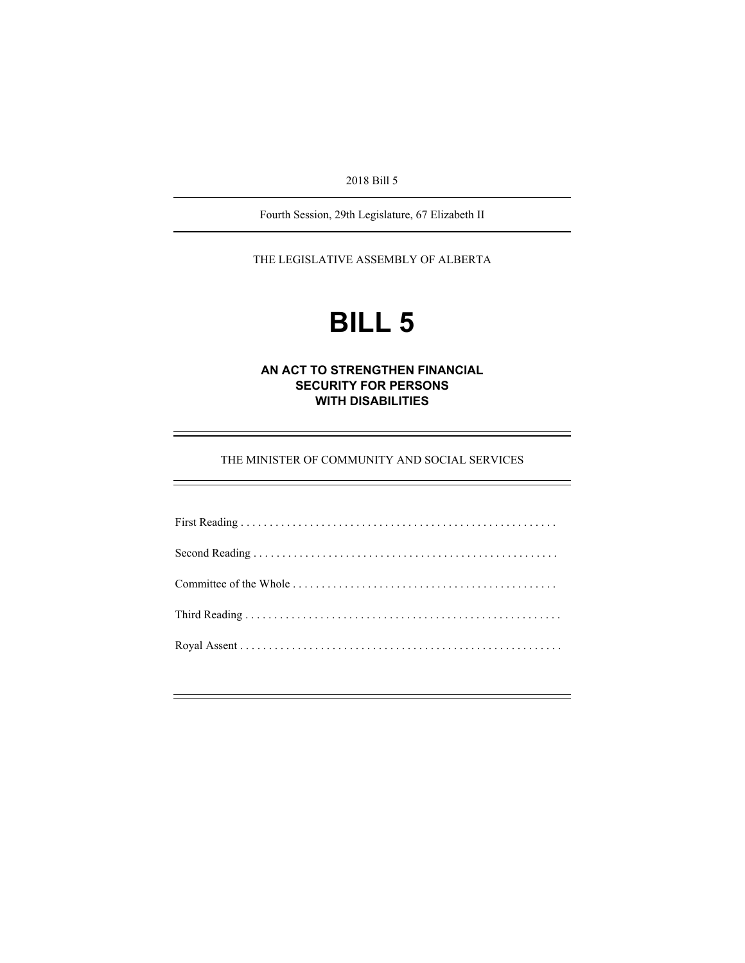2018 Bill 5

Fourth Session, 29th Legislature, 67 Elizabeth II

THE LEGISLATIVE ASSEMBLY OF ALBERTA

# **BILL 5**

## **AN ACT TO STRENGTHEN FINANCIAL SECURITY FOR PERSONS WITH DISABILITIES**

THE MINISTER OF COMMUNITY AND SOCIAL SERVICES

÷,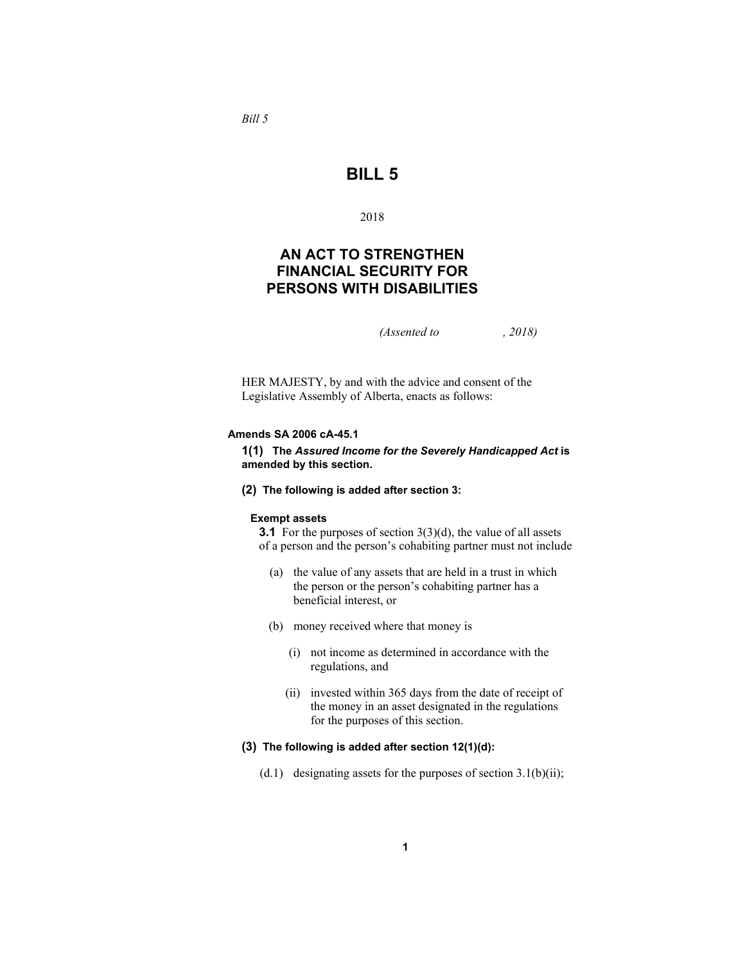*Bill 5* 

# **BILL 5**

#### 2018

## **AN ACT TO STRENGTHEN FINANCIAL SECURITY FOR PERSONS WITH DISABILITIES**

*(Assented to , 2018)* 

HER MAJESTY, by and with the advice and consent of the Legislative Assembly of Alberta, enacts as follows:

#### **Amends SA 2006 cA-45.1**

**1(1) The** *Assured Income for the Severely Handicapped Act* **is amended by this section.** 

**(2) The following is added after section 3:**

#### **Exempt assets**

**3.1** For the purposes of section 3(3)(d), the value of all assets of a person and the person's cohabiting partner must not include

- (a) the value of any assets that are held in a trust in which the person or the person's cohabiting partner has a beneficial interest, or
- (b) money received where that money is
	- (i) not income as determined in accordance with the regulations, and
	- (ii) invested within 365 days from the date of receipt of the money in an asset designated in the regulations for the purposes of this section.

## **(3) The following is added after section 12(1)(d):**

(d.1) designating assets for the purposes of section  $3.1(b)(ii)$ ;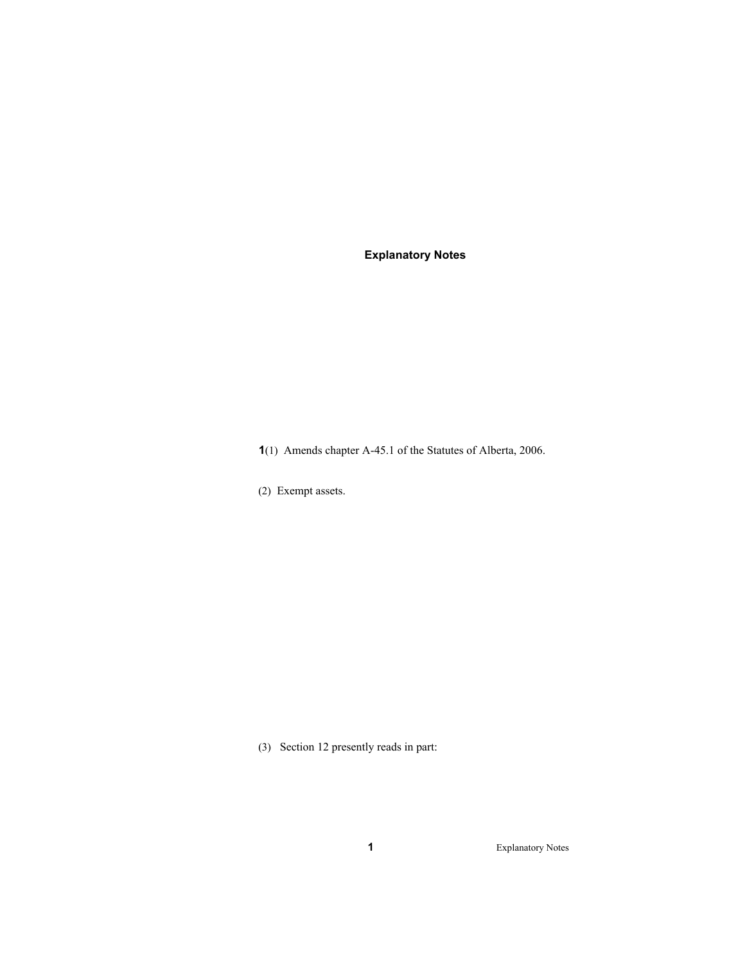**Explanatory Notes** 

**1**(1)Amends chapter A-45.1 of the Statutes of Alberta, 2006.

(2) Exempt assets.

(3) Section 12 presently reads in part:

**1** Explanatory Notes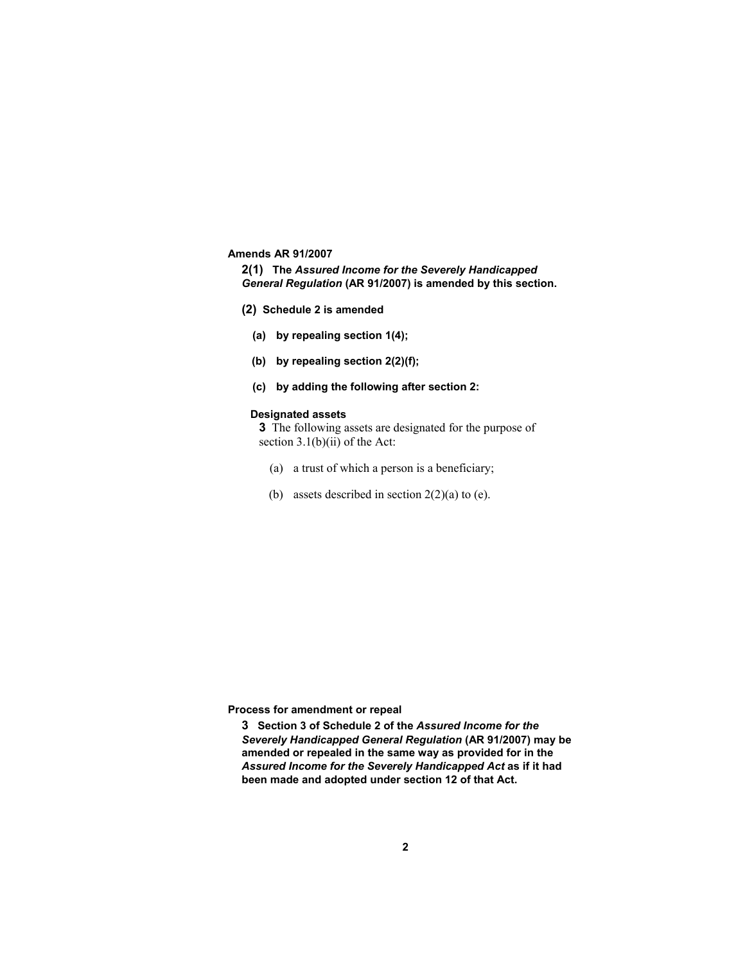#### **Amends AR 91/2007**

**2(1) The** *Assured Income for the Severely Handicapped General Regulation* **(AR 91/2007) is amended by this section.** 

- **(2) Schedule 2 is amended**
	- **(a) by repealing section 1(4);**
	- **(b) by repealing section 2(2)(f);**
	- **(c) by adding the following after section 2:**

#### **Designated assets**

**3** The following assets are designated for the purpose of section  $3.1(b)(ii)$  of the Act:

- (a) a trust of which a person is a beneficiary;
- (b) assets described in section  $2(2)(a)$  to (e).

**Process for amendment or repeal** 

**3 Section 3 of Schedule 2 of the** *Assured Income for the Severely Handicapped General Regulation* **(AR 91/2007) may be amended or repealed in the same way as provided for in the**  *Assured Income for the Severely Handicapped Act* **as if it had been made and adopted under section 12 of that Act.**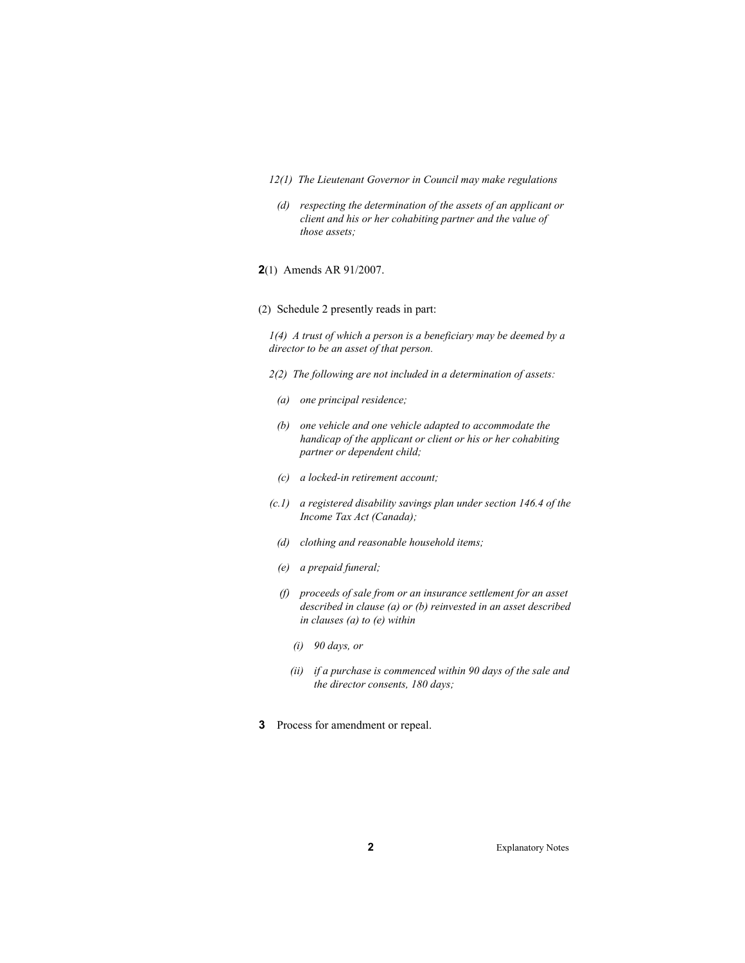- *12(1) The Lieutenant Governor in Council may make regulations*
- *(d) respecting the determination of the assets of an applicant or client and his or her cohabiting partner and the value of those assets;*
- **2**(1) Amends AR 91/2007.
- (2) Schedule 2 presently reads in part:

*1(4) A trust of which a person is a beneficiary may be deemed by a director to be an asset of that person.* 

- *2(2) The following are not included in a determination of assets:* 
	- *(a) one principal residence;*
	- *(b) one vehicle and one vehicle adapted to accommodate the handicap of the applicant or client or his or her cohabiting partner or dependent child;*
	- *(c) a locked-in retirement account;*
- *(c.1) a registered disability savings plan under section 146.4 of the Income Tax Act (Canada);*
- *(d) clothing and reasonable household items;*
- *(e) a prepaid funeral;*
- *(f) proceeds of sale from or an insurance settlement for an asset described in clause (a) or (b) reinvested in an asset described in clauses (a) to (e) within* 
	- *(i) 90 days, or*
	- *(ii) if a purchase is commenced within 90 days of the sale and the director consents, 180 days;*
- **3** Process for amendment or repeal.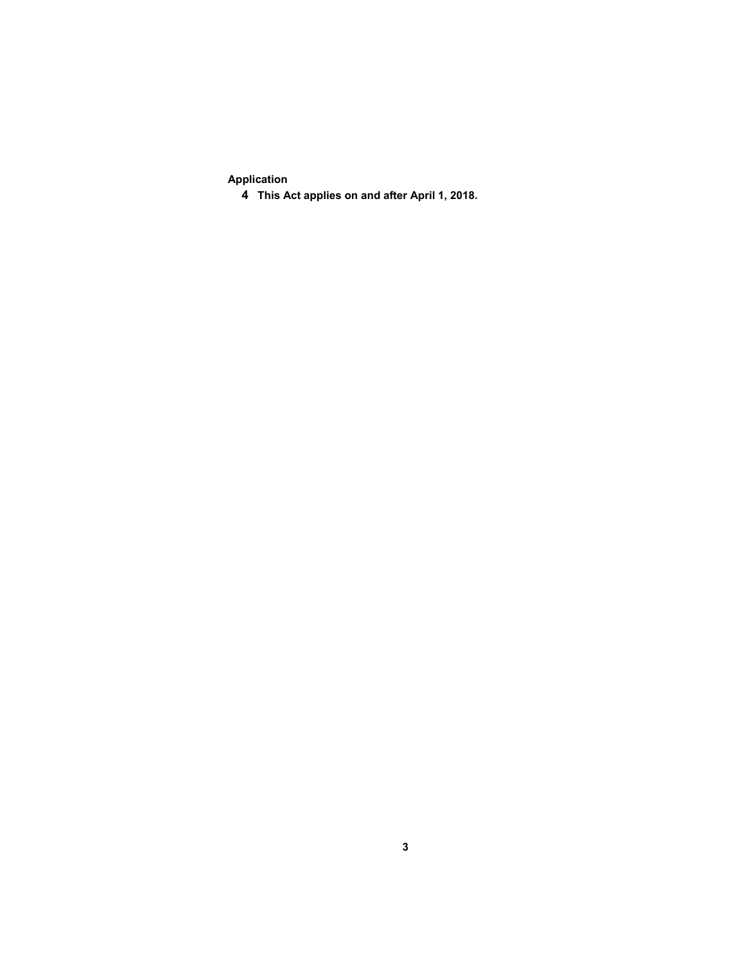**Application** 

**This Act applies on and after April 1, 2018.**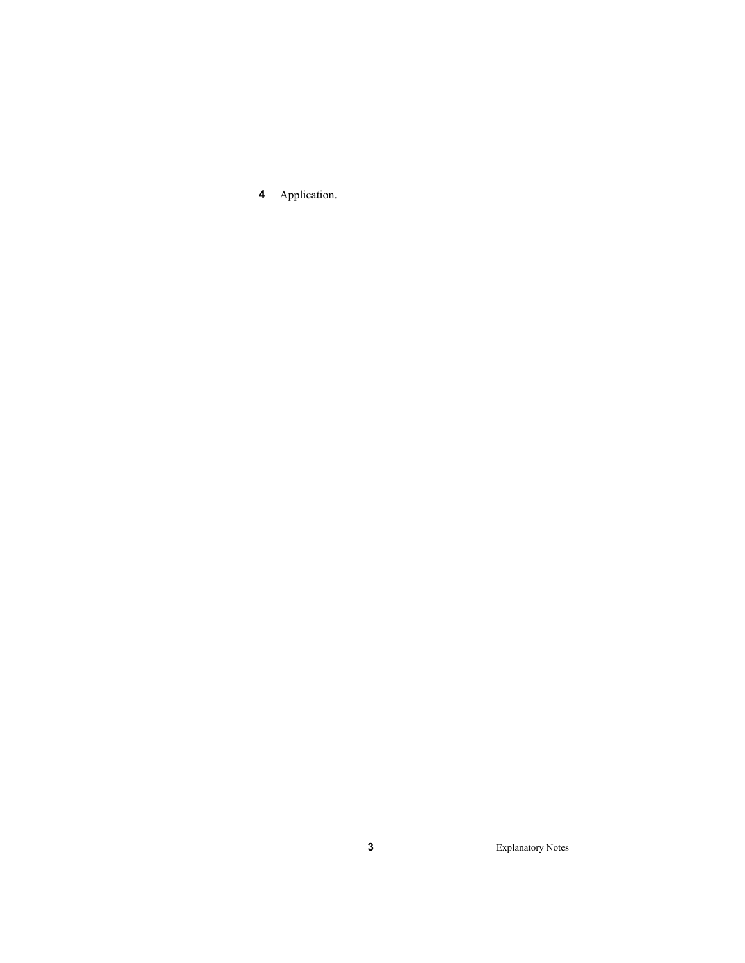Application.

Explanatory Notes